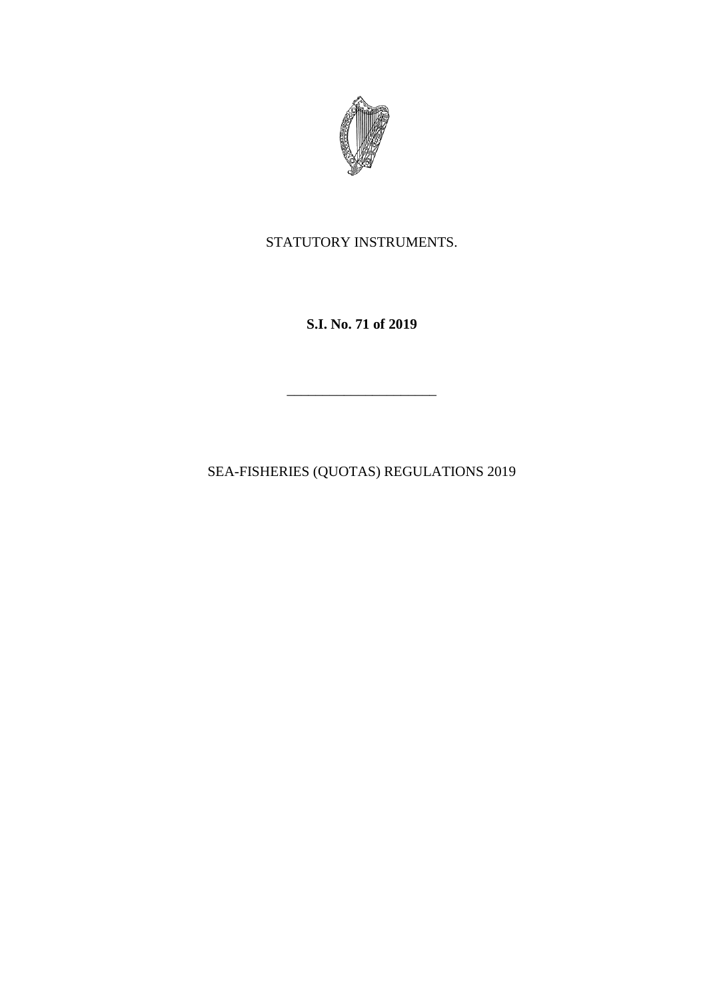

STATUTORY INSTRUMENTS.

**S.I. No. 71 of 2019**

\_\_\_\_\_\_\_\_\_\_\_\_\_\_\_\_\_\_\_\_\_

SEA-FISHERIES (QUOTAS) REGULATIONS 2019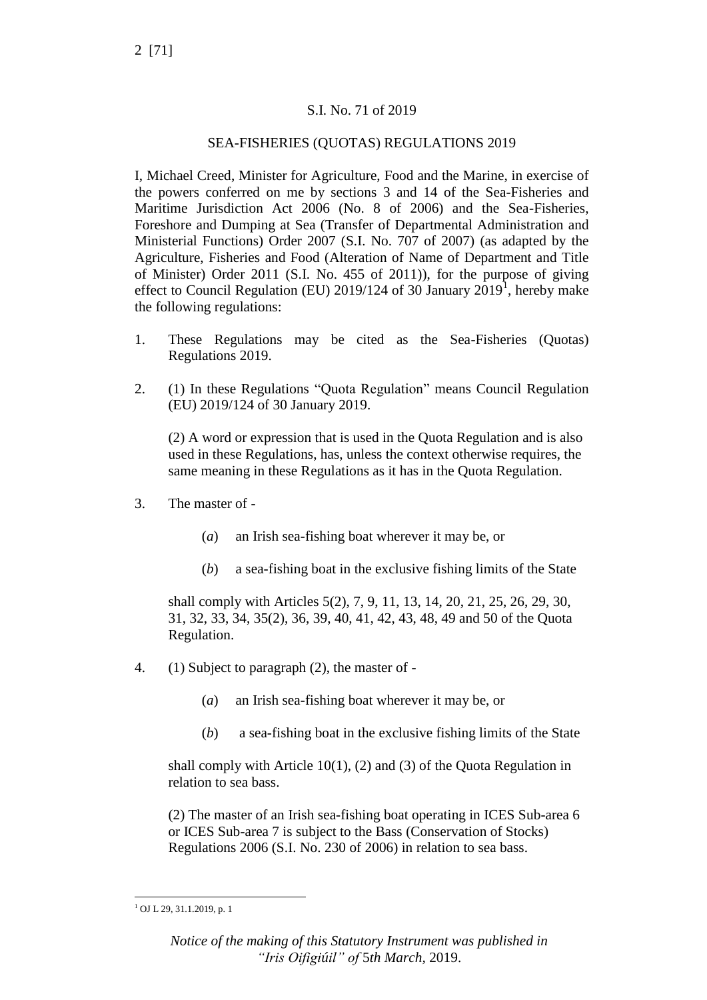## S.I. No. 71 of 2019

## SEA-FISHERIES (QUOTAS) REGULATIONS 2019

I, Michael Creed, Minister for Agriculture, Food and the Marine, in exercise of the powers conferred on me by sections 3 and 14 of the Sea-Fisheries and Maritime Jurisdiction Act 2006 (No. 8 of 2006) and the Sea-Fisheries, Foreshore and Dumping at Sea (Transfer of Departmental Administration and Ministerial Functions) Order 2007 (S.I. No. 707 of 2007) (as adapted by the Agriculture, Fisheries and Food (Alteration of Name of Department and Title of Minister) Order 2011 (S.I. No. 455 of 2011)), for the purpose of giving effect to Council Regulation (EU) 2019/124 of 30 January  $2019<sup>1</sup>$ , hereby make the following regulations:

- 1. These Regulations may be cited as the Sea-Fisheries (Quotas) Regulations 2019.
- 2. (1) In these Regulations "Quota Regulation" means Council Regulation (EU) 2019/124 of 30 January 2019.

(2) A word or expression that is used in the Quota Regulation and is also used in these Regulations, has, unless the context otherwise requires, the same meaning in these Regulations as it has in the Quota Regulation.

- 3. The master of
	- (*a*) an Irish sea-fishing boat wherever it may be, or
	- (*b*) a sea-fishing boat in the exclusive fishing limits of the State

shall comply with Articles 5(2), 7, 9, 11, 13, 14, 20, 21, 25, 26, 29, 30, 31, 32, 33, 34, 35(2), 36, 39, 40, 41, 42, 43, 48, 49 and 50 of the Quota Regulation.

- 4. (1) Subject to paragraph (2), the master of
	- (*a*) an Irish sea-fishing boat wherever it may be, or
	- (*b*) a sea-fishing boat in the exclusive fishing limits of the State

shall comply with Article 10(1), (2) and (3) of the Quota Regulation in relation to sea bass.

(2) The master of an Irish sea-fishing boat operating in ICES Sub-area 6 or ICES Sub-area 7 is subject to the Bass (Conservation of Stocks) Regulations 2006 (S.I. No. 230 of 2006) in relation to sea bass.

 $\overline{a}$ <sup>1</sup> OJ L 29, 31.1.2019, p. 1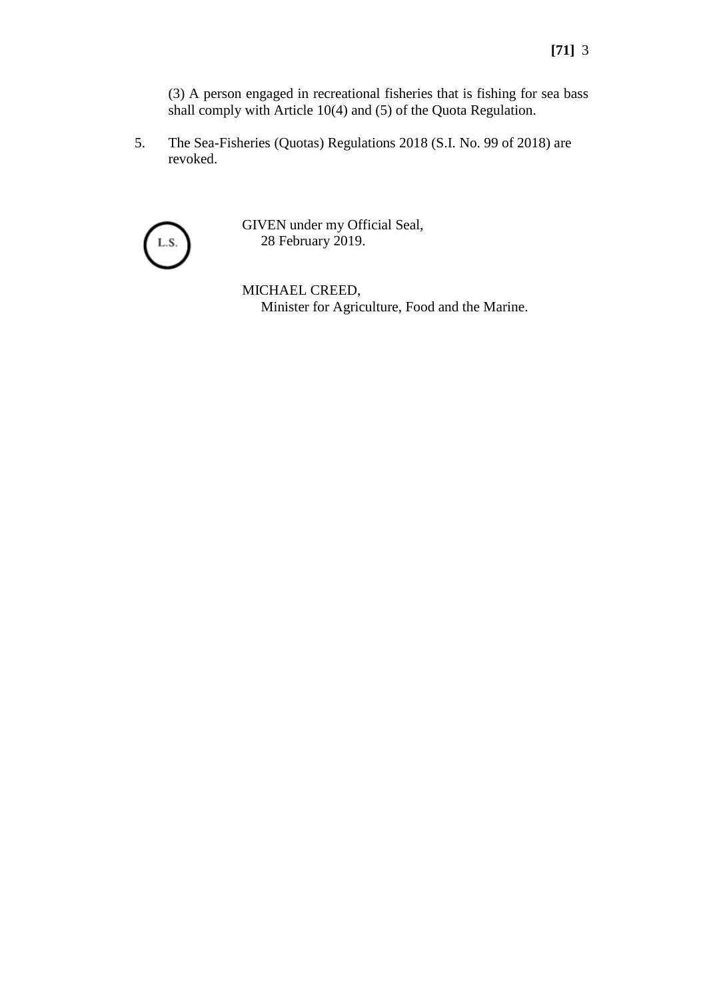(3) A person engaged in recreational fisheries that is fishing for sea bass shall comply with Article 10(4) and (5) of the Quota Regulation.

5. The Sea-Fisheries (Quotas) Regulations 2018 (S.I. No. 99 of 2018) are revoked.



GIVEN under my Official Seal, 28 February 2019.

MICHAEL CREED, Minister for Agriculture, Food and the Marine.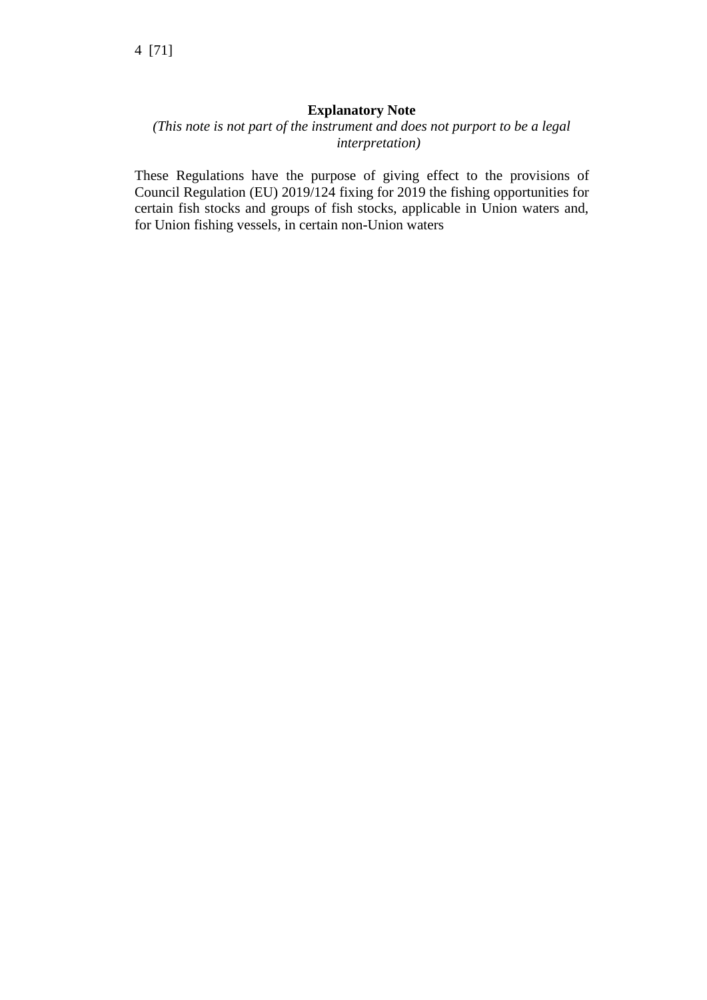## **Explanatory Note**

*(This note is not part of the instrument and does not purport to be a legal interpretation)*

These Regulations have the purpose of giving effect to the provisions of Council Regulation (EU) 2019/124 fixing for 2019 the fishing opportunities for certain fish stocks and groups of fish stocks, applicable in Union waters and, for Union fishing vessels, in certain non-Union waters